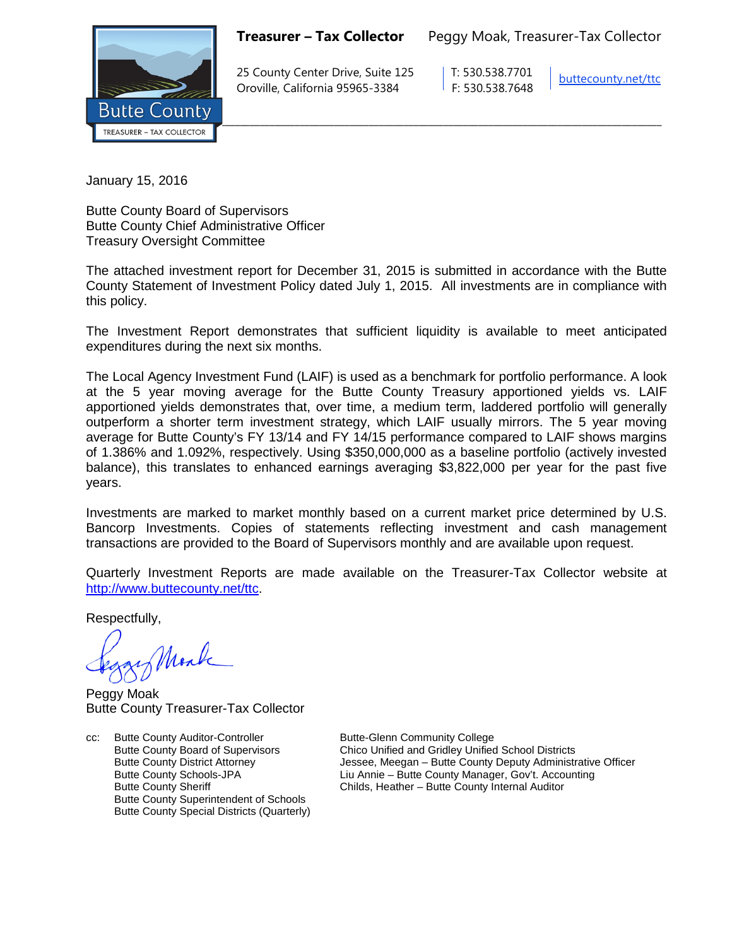**Treasurer – Tax Collector** Peggy Moak, Treasurer-Tax Collector



25 County Center Drive, Suite 125 T: 530.538.7701 Oroville, California 95965-3384 F: 530.538.7648

[buttecounty.net/t](http://www.buttecounty.net/administration)tc

January 15, 2016

Butte County Board of Supervisors Butte County Chief Administrative Officer Treasury Oversight Committee

The attached investment report for December 31, 2015 is submitted in accordance with the Butte County Statement of Investment Policy dated July 1, 2015. All investments are in compliance with this policy.

The Investment Report demonstrates that sufficient liquidity is available to meet anticipated expenditures during the next six months.

The Local Agency Investment Fund (LAIF) is used as a benchmark for portfolio performance. A look at the 5 year moving average for the Butte County Treasury apportioned yields vs. LAIF apportioned yields demonstrates that, over time, a medium term, laddered portfolio will generally outperform a shorter term investment strategy, which LAIF usually mirrors. The 5 year moving average for Butte County's FY 13/14 and FY 14/15 performance compared to LAIF shows margins of 1.386% and 1.092%, respectively. Using \$350,000,000 as a baseline portfolio (actively invested balance), this translates to enhanced earnings averaging \$3,822,000 per year for the past five years.

Investments are marked to market monthly based on a current market price determined by U.S. Bancorp Investments. Copies of statements reflecting investment and cash management transactions are provided to the Board of Supervisors monthly and are available upon request.

Quarterly Investment Reports are made available on the Treasurer-Tax Collector website at <http://www.buttecounty.net/ttc>

Respectfully,

Monk

Peggy Moak Butte County Treasurer-Tax Collector

cc: Butte County Auditor-Controller **Butte-Glenn Community College** Butte County Superintendent of Schools Butte County Special Districts (Quarterly)

Butte County Board of Supervisors Chico Unified and Gridley Unified School Districts<br>Butte County District Attorney Chico Chessee, Meegan – Butte County Deputy Administr Butte County District Attorney **State Attorney** Jessee, Meegan – Butte County Deputy Administrative Officer<br>Butte County Schools-JPA Liu Annie – Butte County Manager, Gov't. Accounting Butte County Schools-JPA Liu Annie – Butte County Manager, Gov't. Accounting Childs, Heather – Butte County Internal Auditor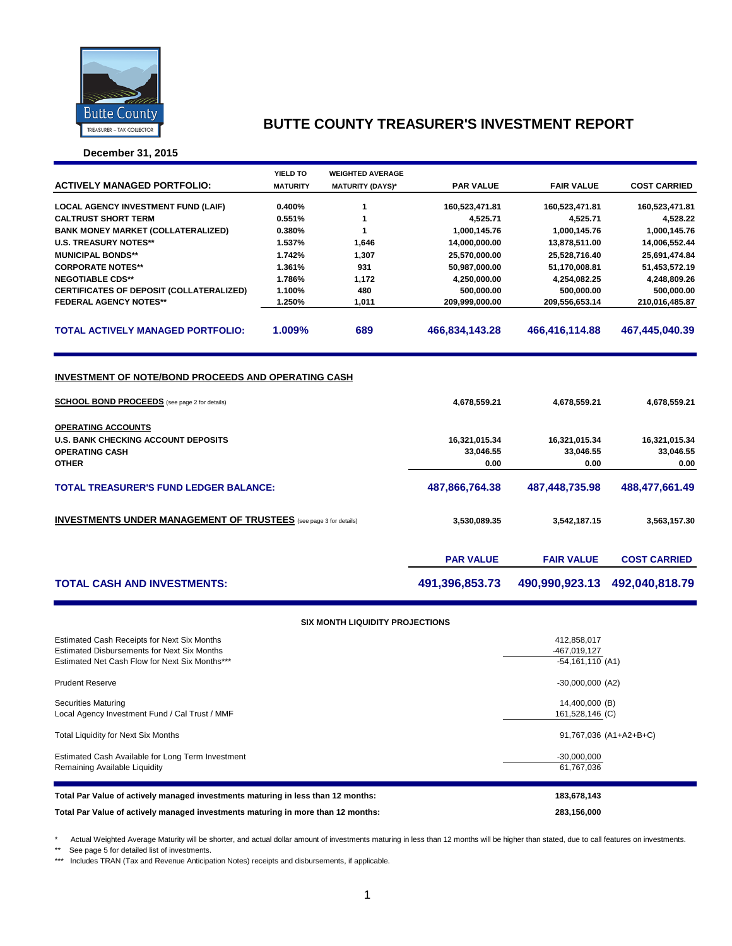

**December 31, 2015**

|                                                                                                             | YIELD TO        | <b>WEIGHTED AVERAGE</b> |                  |                   |                     |
|-------------------------------------------------------------------------------------------------------------|-----------------|-------------------------|------------------|-------------------|---------------------|
| <b>ACTIVELY MANAGED PORTFOLIO:</b>                                                                          | <b>MATURITY</b> | <b>MATURITY (DAYS)*</b> | <b>PAR VALUE</b> | <b>FAIR VALUE</b> | <b>COST CARRIED</b> |
|                                                                                                             |                 |                         |                  |                   |                     |
| <b>LOCAL AGENCY INVESTMENT FUND (LAIF)</b>                                                                  | 0.400%          | 1                       | 160,523,471.81   | 160,523,471.81    | 160,523,471.81      |
| <b>CALTRUST SHORT TERM</b>                                                                                  | 0.551%          | 1                       | 4,525.71         | 4,525.71          | 4,528.22            |
| <b>BANK MONEY MARKET (COLLATERALIZED)</b>                                                                   | 0.380%          | 1                       | 1,000,145.76     | 1,000,145.76      | 1,000,145.76        |
| <b>U.S. TREASURY NOTES**</b>                                                                                | 1.537%          | 1,646                   | 14,000,000.00    | 13,878,511.00     | 14,006,552.44       |
| <b>MUNICIPAL BONDS**</b>                                                                                    | 1.742%          | 1,307                   | 25,570,000.00    | 25,528,716.40     | 25,691,474.84       |
| <b>CORPORATE NOTES**</b>                                                                                    | 1.361%          | 931                     | 50,987,000.00    | 51,170,008.81     | 51,453,572.19       |
| <b>NEGOTIABLE CDS**</b>                                                                                     | 1.786%          | 1,172                   | 4,250,000.00     | 4,254,082.25      | 4,248,809.26        |
| CERTIFICATES OF DEPOSIT (COLLATERALIZED)                                                                    | 1.100%          | 480                     | 500,000.00       | 500,000.00        | 500,000.00          |
| <b>FEDERAL AGENCY NOTES**</b>                                                                               | 1.250%          | 1,011                   | 209,999,000.00   | 209,556,653.14    | 210,016,485.87      |
| <b>TOTAL ACTIVELY MANAGED PORTFOLIO:</b>                                                                    | 1.009%          | 689                     | 466,834,143.28   | 466,416,114.88    | 467,445,040.39      |
| INVESTMENT OF NOTE/BOND PROCEEDS AND OPERATING CASH<br><b>SCHOOL BOND PROCEEDS</b> (see page 2 for details) |                 | 4,678,559.21            | 4,678,559.21     | 4,678,559.21      |                     |
| <b>OPERATING ACCOUNTS</b>                                                                                   |                 |                         |                  |                   |                     |
| <b>U.S. BANK CHECKING ACCOUNT DEPOSITS</b>                                                                  |                 |                         | 16,321,015.34    | 16,321,015.34     | 16,321,015.34       |
| <b>OPERATING CASH</b>                                                                                       |                 |                         | 33,046.55        | 33,046.55         | 33,046.55           |
| <b>OTHER</b>                                                                                                |                 |                         | 0.00             | 0.00              | 0.00                |
| <b>TOTAL TREASURER'S FUND LEDGER BALANCE:</b>                                                               |                 | 487,866,764.38          | 487,448,735.98   | 488,477,661.49    |                     |
| <b>INVESTMENTS UNDER MANAGEMENT OF TRUSTEES</b> (see page 3 for details)                                    |                 | 3,530,089.35            | 3,542,187.15     | 3,563,157.30      |                     |
|                                                                                                             |                 |                         | <b>PAR VALUE</b> | <b>FAIR VALUE</b> | <b>COST CARRIED</b> |
| <b>TOTAL CASH AND INVESTMENTS:</b>                                                                          |                 |                         | 491,396,853.73   | 490,990,923.13    | 492,040,818.79      |
|                                                                                                             |                 |                         |                  |                   |                     |

### **SIX MONTH LIQUIDITY PROJECTIONS**

| Estimated Cash Receipts for Next Six Months<br><b>Estimated Disbursements for Next Six Months</b><br>Estimated Net Cash Flow for Next Six Months*** | 412,858,017<br>-467,019,127<br>$-54,161,110$ (A1) |
|-----------------------------------------------------------------------------------------------------------------------------------------------------|---------------------------------------------------|
| <b>Prudent Reserve</b>                                                                                                                              | $-30,000,000$ (A2)                                |
| Securities Maturing<br>Local Agency Investment Fund / Cal Trust / MMF                                                                               | 14,400,000 (B)<br>161,528,146 (C)                 |
| Total Liquidity for Next Six Months                                                                                                                 | 91,767,036 (A1+A2+B+C)                            |
| Estimated Cash Available for Long Term Investment<br>Remaining Available Liquidity                                                                  | $-30,000,000$<br>61,767,036                       |
| Total Par Value of actively managed investments maturing in less than 12 months:                                                                    | 183,678,143                                       |
| Total Par Value of actively managed investments maturing in more than 12 months:                                                                    | 283,156,000                                       |

\* Actual Weighted Average Maturity will be shorter, and actual dollar amount of investments maturing in less than 12 months will be higher than stated, due to call features on investments.

\*\* See page 5 for detailed list of investments.

\*\*\* Includes TRAN (Tax and Revenue Anticipation Notes) receipts and disbursements, if applicable.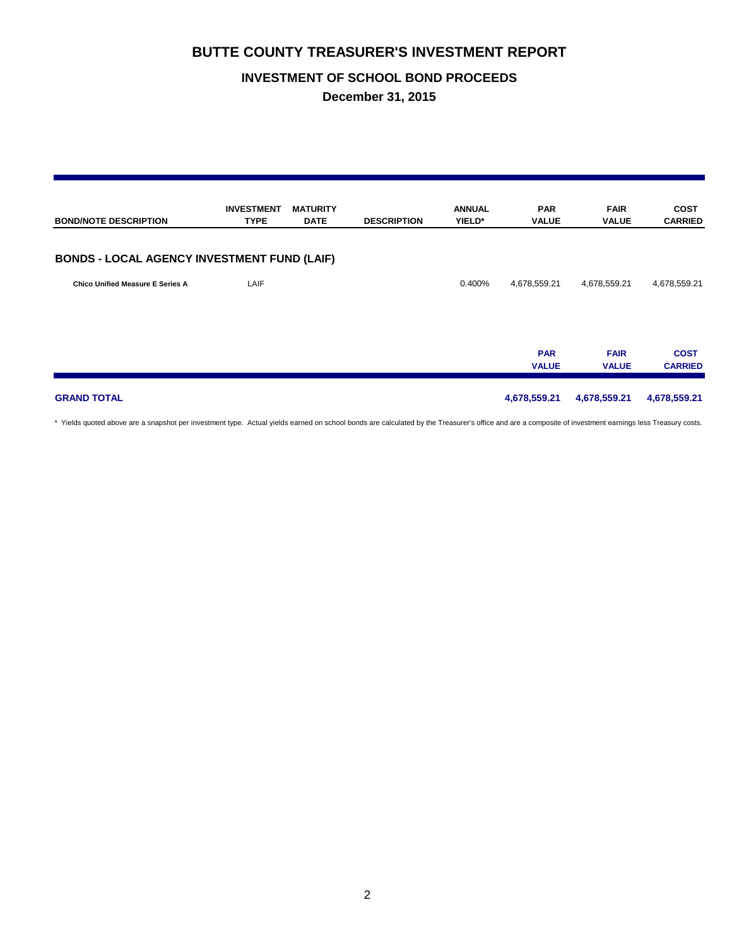## **INVESTMENT OF SCHOOL BOND PROCEEDS**

**December 31, 2015**

| <b>BOND/NOTE DESCRIPTION</b>                       | <b>INVESTMENT</b><br><b>TYPE</b> | <b>MATURITY</b><br><b>DATE</b> | <b>DESCRIPTION</b> | <b>ANNUAL</b><br>YIELD* | <b>PAR</b><br><b>VALUE</b> | <b>FAIR</b><br><b>VALUE</b> | <b>COST</b><br><b>CARRIED</b> |
|----------------------------------------------------|----------------------------------|--------------------------------|--------------------|-------------------------|----------------------------|-----------------------------|-------------------------------|
| <b>BONDS - LOCAL AGENCY INVESTMENT FUND (LAIF)</b> |                                  |                                |                    |                         |                            |                             |                               |
| Chico Unified Measure E Series A                   | LAIF                             |                                |                    | 0.400%                  | 4,678,559.21               | 4,678,559.21                | 4,678,559.21                  |
|                                                    |                                  |                                |                    |                         | <b>PAR</b><br><b>VALUE</b> | <b>FAIR</b><br><b>VALUE</b> | <b>COST</b><br><b>CARRIED</b> |
| <b>GRAND TOTAL</b>                                 |                                  |                                |                    |                         | 4,678,559.21               | 4,678,559.21                | 4,678,559.21                  |

\* Yields quoted above are a snapshot per investment type. Actual yields earned on school bonds are calculated by the Treasurer's office and are a composite of investment earnings less Treasury costs.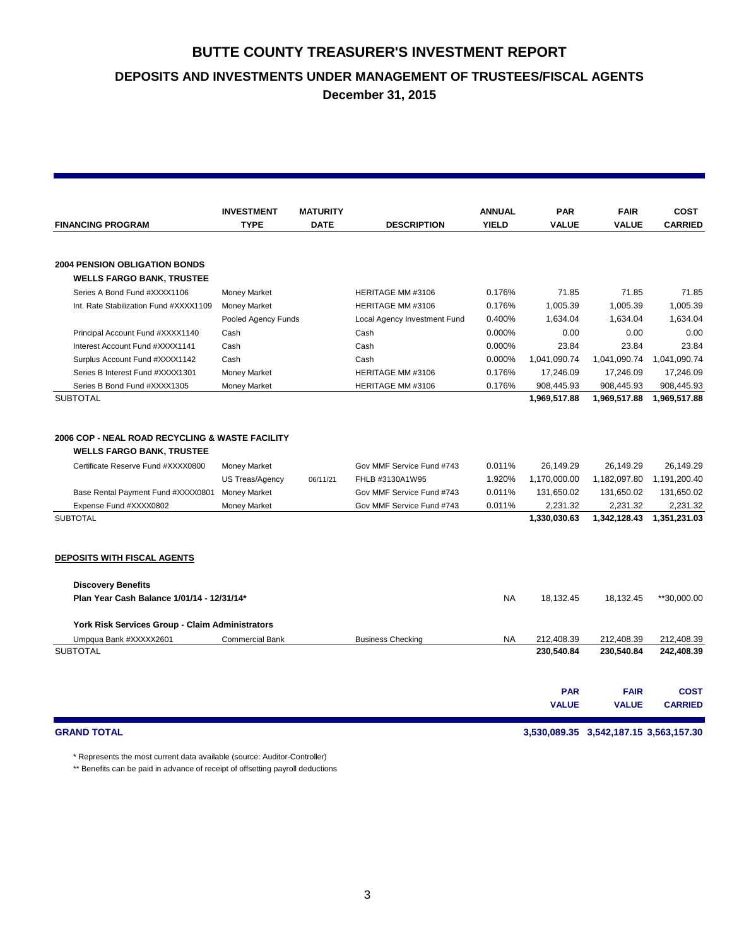**DEPOSITS AND INVESTMENTS UNDER MANAGEMENT OF TRUSTEES/FISCAL AGENTS**

**December 31, 2015**

|                                                 | <b>INVESTMENT</b>      | <b>MATURITY</b> |                              | <b>ANNUAL</b> | <b>PAR</b>   | <b>FAIR</b>  | <b>COST</b>    |
|-------------------------------------------------|------------------------|-----------------|------------------------------|---------------|--------------|--------------|----------------|
| <b>FINANCING PROGRAM</b>                        | <b>TYPE</b>            | <b>DATE</b>     | <b>DESCRIPTION</b>           | <b>YIELD</b>  | <b>VALUE</b> | <b>VALUE</b> | <b>CARRIED</b> |
|                                                 |                        |                 |                              |               |              |              |                |
| <b>2004 PENSION OBLIGATION BONDS</b>            |                        |                 |                              |               |              |              |                |
| <b>WELLS FARGO BANK, TRUSTEE</b>                |                        |                 |                              |               |              |              |                |
| Series A Bond Fund #XXXX1106                    | <b>Money Market</b>    |                 | HERITAGE MM #3106            | 0.176%        | 71.85        | 71.85        | 71.85          |
| Int. Rate Stabilization Fund #XXXX1109          | <b>Money Market</b>    |                 | HERITAGE MM #3106            | 0.176%        | 1,005.39     | 1,005.39     | 1,005.39       |
|                                                 | Pooled Agency Funds    |                 | Local Agency Investment Fund | 0.400%        | 1,634.04     | 1,634.04     | 1,634.04       |
| Principal Account Fund #XXXX1140                | Cash                   |                 | Cash                         | 0.000%        | 0.00         | 0.00         | 0.00           |
| Interest Account Fund #XXXX1141                 | Cash                   |                 | Cash                         | 0.000%        | 23.84        | 23.84        | 23.84          |
| Surplus Account Fund #XXXX1142                  | Cash                   |                 | Cash                         | 0.000%        | 1,041,090.74 | 1,041,090.74 | 1,041,090.74   |
| Series B Interest Fund #XXXX1301                | <b>Money Market</b>    |                 | HERITAGE MM #3106            | 0.176%        | 17,246.09    | 17,246.09    | 17,246.09      |
| Series B Bond Fund #XXXX1305                    | <b>Money Market</b>    |                 | HERITAGE MM #3106            | 0.176%        | 908,445.93   | 908,445.93   | 908,445.93     |
| <b>SUBTOTAL</b>                                 |                        |                 |                              |               | 1,969,517.88 | 1,969,517.88 | 1,969,517.88   |
|                                                 |                        |                 |                              |               |              |              |                |
| 2006 COP - NEAL ROAD RECYCLING & WASTE FACILITY |                        |                 |                              |               |              |              |                |
| <b>WELLS FARGO BANK, TRUSTEE</b>                |                        |                 |                              |               |              |              |                |
| Certificate Reserve Fund #XXXX0800              | <b>Money Market</b>    |                 | Gov MMF Service Fund #743    | 0.011%        | 26,149.29    | 26,149.29    | 26,149.29      |
|                                                 | US Treas/Agency        | 06/11/21        | FHLB #3130A1W95              | 1.920%        | 1,170,000.00 | 1,182,097.80 | 1,191,200.40   |
| Base Rental Payment Fund #XXXX0801              | <b>Money Market</b>    |                 | Gov MMF Service Fund #743    | 0.011%        | 131,650.02   | 131,650.02   | 131,650.02     |
| Expense Fund #XXXX0802                          | <b>Money Market</b>    |                 | Gov MMF Service Fund #743    | 0.011%        | 2,231.32     | 2,231.32     | 2,231.32       |
| <b>SUBTOTAL</b>                                 |                        |                 |                              |               | 1,330,030.63 | 1,342,128.43 | 1,351,231.03   |
|                                                 |                        |                 |                              |               |              |              |                |
| <b>DEPOSITS WITH FISCAL AGENTS</b>              |                        |                 |                              |               |              |              |                |
| <b>Discovery Benefits</b>                       |                        |                 |                              |               |              |              |                |
| Plan Year Cash Balance 1/01/14 - 12/31/14*      |                        |                 |                              | <b>NA</b>     | 18,132.45    | 18,132.45    | **30,000.00    |
|                                                 |                        |                 |                              |               |              |              |                |
| York Risk Services Group - Claim Administrators |                        |                 |                              |               |              |              |                |
| Umpqua Bank #XXXXX2601                          | <b>Commercial Bank</b> |                 | <b>Business Checking</b>     | <b>NA</b>     | 212.408.39   | 212.408.39   | 212,408.39     |
| <b>SUBTOTAL</b>                                 |                        |                 |                              |               | 230,540.84   | 230,540.84   | 242,408.39     |
|                                                 |                        |                 |                              |               |              |              |                |
|                                                 |                        |                 |                              |               | <b>PAR</b>   | <b>FAIR</b>  | <b>COST</b>    |
|                                                 |                        |                 |                              |               | <b>VALUE</b> | <b>VALUE</b> | <b>CARRIED</b> |

**GRAND TOTAL 3,530,089.35 3,542,187.15 3,563,157.30**

\* Represents the most current data available (source: Auditor-Controller)

\*\* Benefits can be paid in advance of receipt of offsetting payroll deductions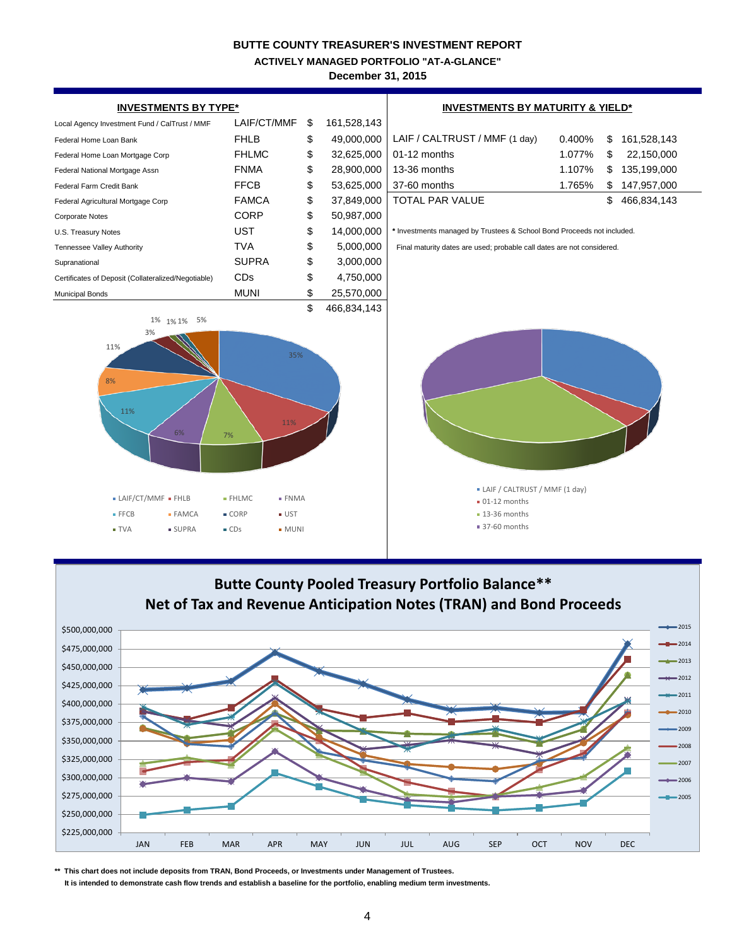**ACTIVELY MANAGED PORTFOLIO "AT-A-GLANCE"**

**December 31, 2015**





**\*\* This chart does not include deposits from TRAN, Bond Proceeds, or Investments under Management of Trustees.**

 **It is intended to demonstrate cash flow trends and establish a baseline for the portfolio, enabling medium term investments.**